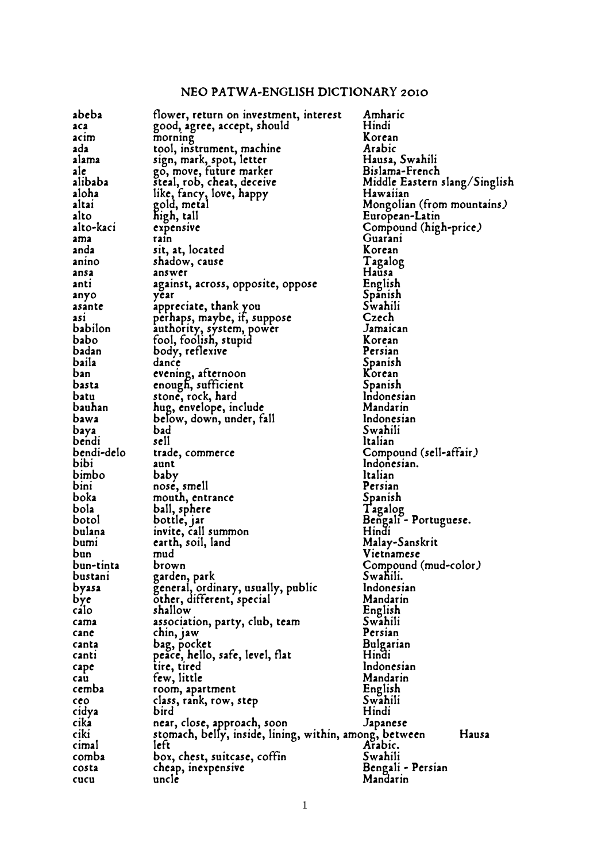## NEO PATWA-ENGLISH DICTIONARY 2010

| abeba       | flower, return on investment, interest                 | Amharic                       |
|-------------|--------------------------------------------------------|-------------------------------|
|             |                                                        | Hindi                         |
| aca         | good, agree, accept, should                            |                               |
| acım        | morning                                                | Korean                        |
| ada         | tool, instrument, machine                              | Arabic                        |
| alama       | sign, mark, spot, letter                               | Hausa, Swahili                |
| ale         | go, move, future marker                                | Bislama-French                |
| alibaba     |                                                        |                               |
|             | steal, rob, cheat, deceive                             | Middle Eastern slang/Singlish |
| aloha       | like, fancy, love, happy                               | Hawaiian                      |
| altai       | gold, metal                                            | Mongolian (from mountains)    |
| alto        | high, tall                                             | European-Latin                |
| alto-kaci   | expensive                                              | Compound (high-price)         |
|             |                                                        | Guarani                       |
| ama         | rain                                                   |                               |
| anda        | sit, at, located                                       | Korean                        |
| anino       | shadow, cause                                          | Tagalog                       |
| ansa        | answer                                                 | Hausa                         |
| anti        | against, across, opposite, oppose                      | English                       |
| anyo        | year                                                   | Spanish                       |
|             |                                                        |                               |
| asante      | appreciate, thank you                                  | Swahili                       |
| ası         | perhaps, maybe, if, suppose                            | Czech                         |
| babilon     |                                                        | Jamaican                      |
| <b>babo</b> | authority, system, power<br>fool, foolish, stupid      | Korean                        |
| badan       | body, reflexive                                        | Persian                       |
|             |                                                        |                               |
| baila       | dance                                                  | Spanish                       |
| ban         | evening, afternoon                                     | Korean                        |
| basta       | enough, sufficient                                     | Spanish                       |
| batu        | stone, rock, hard                                      | Indonesian                    |
| bauhan      | hug, envelope, include                                 | Mandarin                      |
|             |                                                        |                               |
| bawa        | below, down, under, fall                               | Indonesian                    |
| baya        | bad                                                    | Swahili                       |
| bendi       | sell                                                   | Italian                       |
| bendi-delo  | trade, commerce                                        | Compound (sell-affair)        |
| bibi        | aunt                                                   | Indonesian.                   |
|             |                                                        | Italian                       |
| bimbo       | baby                                                   |                               |
| bini        | nose, smell                                            | Persian                       |
| boka        | mouth, entrance                                        | Spanish                       |
| bola        | ball, sphere                                           | Tagalog                       |
| botol       | bottle, jar                                            | Bengali - Portuguese.         |
|             |                                                        | Hindi                         |
| bulana      | invite, call summon                                    |                               |
| bumi        | earth, soil, land                                      | Malay-Sanskrit                |
| bun         | mud                                                    | Vietnamese                    |
| bun-tinta   | brown                                                  | Compound (mud-color.)         |
| bustani     | garden, park                                           | Swahili.                      |
|             |                                                        |                               |
| byasa       | general, ordinary, usually, public                     | Indonesian                    |
| bye         | other, different, special                              | Mandarin                      |
| calo        | shallow                                                | English                       |
| cama        | association, party, club, team                         | Swahili                       |
| cane        | chin, jaw                                              | Persian                       |
| canta       |                                                        | <b>Bulgarian</b>              |
|             | bag, pocket                                            |                               |
| canti       | peace, hello, safe, level, flat                        | Hindi                         |
| cape        | tire, tired                                            | Indonesian                    |
| cau         | few, little                                            | Mandarin                      |
| cemba       | room, apartment                                        | English                       |
| ceo         | class, rank, row, step                                 | Swahili                       |
|             |                                                        |                               |
| cidya       | bird                                                   | Hindi                         |
| cika        | near, close, approach, soon                            | Japanese                      |
| ciki        | stomach, belly, inside, lining, within, among, between | Hausa                         |
| cimal       | left                                                   | Arabic.                       |
| comba       | box, chest, suitcase, coffin                           | Swahili                       |
|             |                                                        |                               |
| costa       | cheap, inexpensive                                     | Bengali - Persian             |
| cucu        | unclé                                                  | Mandarin                      |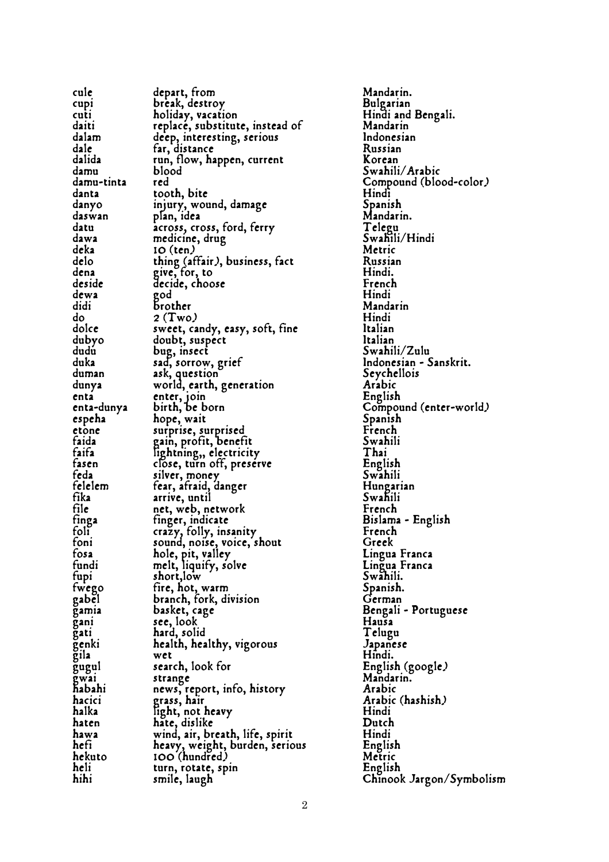| cule                                       | depart, from                                                                                                       | Mandarin.              |
|--------------------------------------------|--------------------------------------------------------------------------------------------------------------------|------------------------|
| cup                                        | break, destroy                                                                                                     | Bulgarian              |
| cuti                                       | holiday, vacation                                                                                                  | Hindi and Bengali.     |
| daiti                                      | replace, substitute, instead of                                                                                    | Mandarin               |
|                                            | deep, interesting, serious                                                                                         | Indonesian             |
| dalam<br>dale                              | far, distance                                                                                                      | Russian                |
| dalida                                     | run, flow, happen, current                                                                                         | Korean                 |
| damu                                       | blood                                                                                                              | Swahili/Arabic         |
|                                            |                                                                                                                    | Compound (blood-color) |
| damu<br>damu-tinta red<br>dama tooth, bite |                                                                                                                    | Hindi                  |
| danyo                                      | injury, wound, damage                                                                                              | Spanish                |
| daswan                                     | plan, idea                                                                                                         | Mandarin.              |
| datu                                       |                                                                                                                    | Telegu                 |
| dawa<br>deka<br>delo                       |                                                                                                                    | Swahili/Hindi          |
|                                            |                                                                                                                    | Metric                 |
|                                            |                                                                                                                    | Russian                |
| dena                                       | across,<br>medicine, drug<br>10 (ten)<br>thing (affair), business, fact<br>give, for, to<br>decide, choose         | Hindi.                 |
| deside                                     |                                                                                                                    | French                 |
| dewa                                       |                                                                                                                    | Hindi                  |
|                                            |                                                                                                                    | Mandarin               |
|                                            |                                                                                                                    | Hindi                  |
|                                            | dewa<br>didi<br>do 2 (Two)<br>dolce sweet, candy, easy, soft, fine<br>dubyo doubt, suspect<br>dubyo doubt, suspect | Italian                |
|                                            |                                                                                                                    | Italian                |
|                                            |                                                                                                                    | Swahili/Zulu           |
|                                            |                                                                                                                    | Indonesian - Sanskrit. |
|                                            | duby<br>dudu<br>duka sad, sorrow, grief<br>duman ask, question<br>dunya world, earth, generation                   | Seychellois            |
|                                            |                                                                                                                    | Arabic                 |
| enta                                       | enter, join<br>birth, be born                                                                                      | English                |
| enta-dunya                                 |                                                                                                                    | Compound (enter-world) |
| espeha                                     | hope, wait                                                                                                         | Spanish                |
| etone                                      |                                                                                                                    | French                 |
| faida<br>faifa<br>fasen                    | surprise, surprised<br>gain, profit, benefit<br>lightning,, electricity                                            | Swahili                |
|                                            |                                                                                                                    | Thai                   |
|                                            | close, turn off, preserve                                                                                          | English                |
| feda                                       | silver, money                                                                                                      | Swahili                |
| felelem                                    | fear, afraid, danger                                                                                               | Hungarian              |
| fika                                       | arrive, until                                                                                                      | Swahili                |
| file                                       | net, web, network                                                                                                  | French                 |
| finga                                      | tinger, indicate                                                                                                   | Bislama - English      |
| foli                                       | crazy, folly, insanity                                                                                             | French                 |
| foni                                       | sound, noise, voice, shout                                                                                         | Greek                  |
| fosa                                       | hole, pit, valley<br>melt, liquify, solve                                                                          | Lingua Franca          |
| fundi                                      |                                                                                                                    | Lingua Franca          |
| tupi                                       | short, low                                                                                                         | Swăhili.               |
| fwego                                      | fire, hot, warm                                                                                                    | Spanish.               |
| gabel                                      | branch, fork, division                                                                                             | German                 |
| gamia                                      | basket, cage                                                                                                       | Bengali - Portuguese   |
| gani                                       | see, look                                                                                                          | Hausa                  |
| gati                                       | hard, solid                                                                                                        | Telugu                 |
| genki                                      | health, healthy, vigorous                                                                                          | Japanese               |
| $\tilde{\mathbf{g}}$ ila                   | wet                                                                                                                | Hindi.                 |
| gugul                                      | search, look for                                                                                                   | English (google)       |
| gwai                                       | strange                                                                                                            | Mandarin.              |
| habahi                                     | news, report, info, history                                                                                        | Arabic                 |
| hacici                                     | grass, hair                                                                                                        | Arabic (hashish)       |
| halka                                      | light, not heavy                                                                                                   | Hindi                  |
| haten                                      | hate, dislike                                                                                                      | Dutch                  |
| hawa                                       | wind, air, breath, life, spirit                                                                                    | Hindi                  |
| hefi                                       | heavy, weight, burden, serious                                                                                     | English                |
| hekuto                                     | 100 (hundred)                                                                                                      | Metric                 |
| heli                                       | turn, rotate, spin                                                                                                 | English                |
| hihi                                       | smile, laugh                                                                                                       | Chinook Jargon/Symbol  |
|                                            |                                                                                                                    |                        |

Mandarin. Bulgarian Hindi and Bengali. Mandarin Indonesian<br>Russian Swahili/Arabic Compound (blood-color.)<br>Hindi Spanish Mandarin. Telegu Swahili/Hindi<br>Metric Mandarin<br>Hindi Swahili/Zulu Indonesian - Sanskrit. Seychellois Arabic English Swahili Bislama - English<br>French Spanish. German Bengali - Portuguese<br>Hausa Telugu Japanese<br>Hindi. Arabic (hashish)<br>Hindi English<br>Metric English Chinook Jargon/Symbolism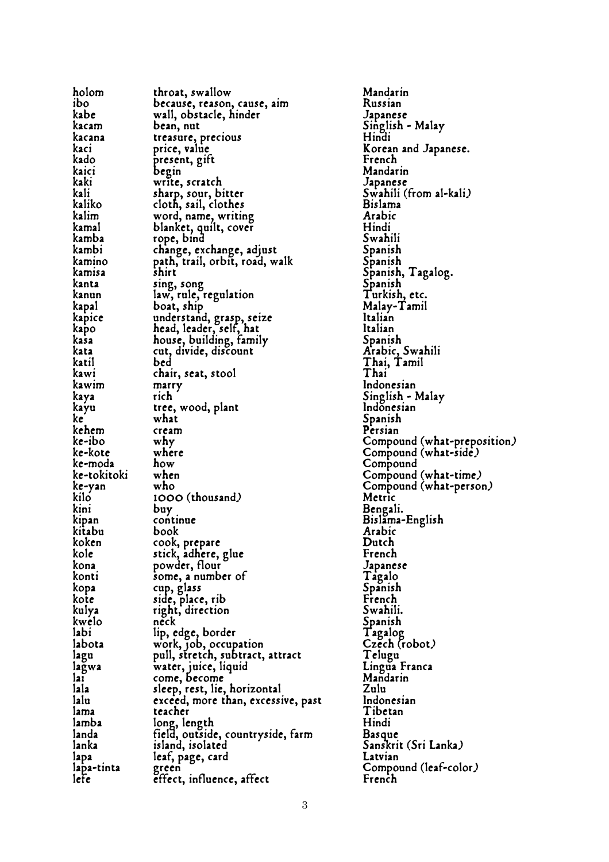| holom       | throat, swallow                                            | Mandarin                       |
|-------------|------------------------------------------------------------|--------------------------------|
| ibo         | because, reason, cause, aim                                | Russian                        |
| kabe        | wall, obstacle, hinder                                     | Japanese                       |
| kacam       | bean, nut                                                  | Singlish - Malay               |
| kacana      | treasure, precious                                         | Hindi                          |
| kacı        | price, value                                               | Korean and Japanese.           |
| kado        | present, gift                                              | French                         |
| kaici       | begin                                                      | Mandarin                       |
| kaki        | write, scratch                                             | Japanese                       |
| kali        | sharp, sour, bitter                                        | Swahili (from al-kali)         |
| kaliko      | cloth, sail, clothes                                       | <b>Bislama</b>                 |
| kalim       | word, name, writing                                        | Arabic                         |
| kamal       | blanket, quilt, cover                                      | Hindi                          |
| kamba       | rope, bind                                                 | Swahili                        |
| kambi       |                                                            | Spanish                        |
| kamino      | change, exchange, adjust<br>path, trail, orbit, road, walk | Spanish                        |
| kamisa      | shirt                                                      | Spanish, Tagalog.              |
| kanta       | sing, song                                                 | Spanish                        |
| kanun       | law, rule, regulation                                      | Turkish, etc.                  |
| kapal       | boat, ship                                                 | Malay-Tamil                    |
| kapice      | understand, grasp, seize                                   | Italian                        |
| kapo        | head, leader, self, hat                                    | Italian                        |
| kasa        |                                                            | Spanish                        |
| kata        | house, building, family<br>cut, divide, discount           | Arabic, Swahili                |
| katil       | bed                                                        | Thai, Tamil                    |
| kawi        |                                                            | Thai                           |
| kawim       | chair, seat, stool                                         | Indonesian                     |
|             | $max_{t}$<br>rich                                          |                                |
| kaya        |                                                            | Singlish - Malay<br>Indonesian |
| kayu<br>ke  | tree, wood, plant<br>what<br>what                          |                                |
|             |                                                            | Spanish                        |
| kehem       | cream<br>why                                               | Persian                        |
| ke-ibo      |                                                            | Compound (what-prep            |
| ke-kote     | where                                                      | Compound (what-side)           |
| ke-moda     | how                                                        | Compound                       |
| ke-tokitoki | when                                                       | Compound (what-time,           |
| ke-yan      | who                                                        | Compound (what-perso           |
| kilo        | 1000 (thousand)                                            | Metric                         |
| kini        | buy                                                        | Bengali.                       |
| kipan       | continue                                                   | Bislama-English                |
| kitabu      | book                                                       | Arabic                         |
| koken       |                                                            | Dutch                          |
| kole        | cook, prepare<br>stick, adhere, glue<br>powder, flour      | French                         |
| kona        |                                                            | Japanese                       |
| konti       | some, a number of                                          | Tagalo                         |
| kopa        | cup, glass                                                 | Spanish                        |
| kote        | side, place, rib                                           | French                         |
| kulya       | right, direction                                           | Swahili.                       |
| kwelo       | neck                                                       | Spanish                        |
| labi        | lip, edge, border                                          | Tagalog                        |
| labota      | work, job, occupation                                      | Czěch (robot.)                 |
| lagu        | pull, stretch, subtract, attract                           | Telugu                         |
| lagwa       |                                                            | Lingua Franca<br>Mandarin      |
| laī         | water, juice, liquid<br>come, become                       |                                |
| lala        | sleep, rest, lie, horizontal                               | Zulu                           |
| lalu        | exceed, more than, excessive, past                         | Indonesian                     |
| lama        | teacher                                                    | Tibetan                        |
| lamba       | long, length                                               | Hindi                          |
| landa       | field, outside, countryside, farm                          | <b>Basque</b>                  |
| lanka       | island, isolated                                           | Sanskrit (Sri Lanka.)          |
| lapa        | leaf, page, card                                           | Latvian                        |
| lapa-tinta  | green                                                      | Compound (leaf-color)          |
| lefe        | effect, influence, affect                                  | French                         |
|             |                                                            |                                |

Mandarin<br>Russian Japanese Singlish - Malay<br>Hindi Korean and Japanese.<br>French Mandarin Japanese Swahili (from al-kali) Bislama<br>Arabic Spanish Spanish Turkish, etc. Malay-Tamil<br>Italian Spanish Indonesian Singlish - Malay lndonesian Compound (what-preposition) Compound (what-time) Compound (what-person)<br>Metric Bengali. Bislama-English<br>Arabic Japanese Tagalo<br>Spanish French Swahili. Telugu<sup>1</sup> Lingua Franca Mandarin<br>Zulu st Indonesian Tibetan<br>Hindi Basque Sanskrit (Sri Lanka)<br>Latvian Compound (leaf-color)<br>French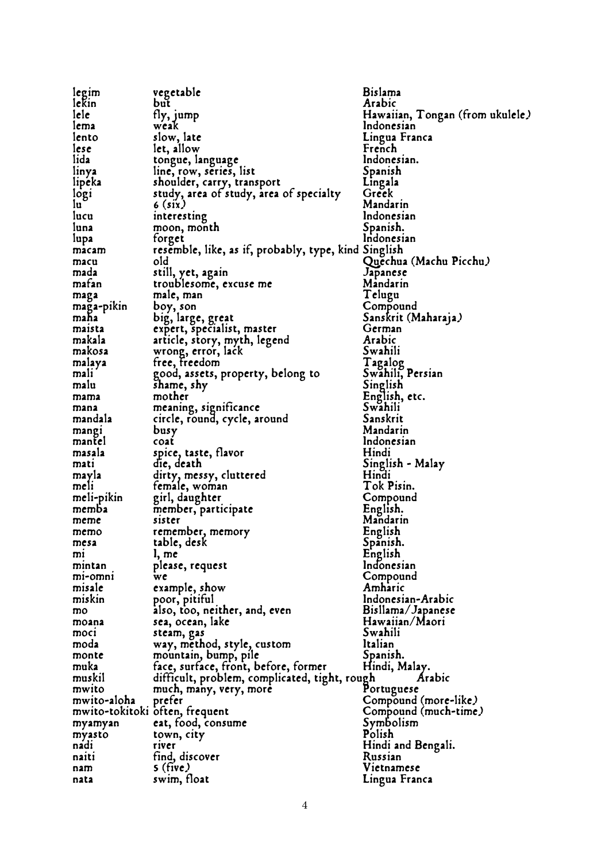| legim                          | vegetable                                                                                                                       | <b>Bislama</b>                   |
|--------------------------------|---------------------------------------------------------------------------------------------------------------------------------|----------------------------------|
| lekin                          | but                                                                                                                             | Arabic                           |
| lele                           | tly, jump                                                                                                                       | Hawaiian, Tongan (from ukulele.) |
| lema                           | weak                                                                                                                            | Indonesian                       |
| lento                          | slow, late                                                                                                                      | Lingua Franca                    |
| lese                           | let, allow                                                                                                                      | French                           |
| lida                           |                                                                                                                                 | Indonesian.                      |
|                                |                                                                                                                                 |                                  |
| linya                          |                                                                                                                                 | Spanish                          |
| lipeka                         | tongue, language<br>line, row, series, list<br>shoulder, carry, transport<br>study, area of study, area                         | Lingala<br>Greek                 |
| logi<br>$\mathbf{u}$           | study, area of study, area of specialty                                                                                         |                                  |
|                                | $6$ (six)                                                                                                                       | Mandarin                         |
| lucu                           | interesting                                                                                                                     | Indonesian                       |
| luna                           | moon, month                                                                                                                     | Spanish.                         |
| lupa                           | forget                                                                                                                          | Indonesian                       |
| macam                          | resemble, like, as if, probably, type, kind Singlish                                                                            |                                  |
| macu                           | old                                                                                                                             | Quěchua (Machu Picchu)           |
| mada                           | still, yet, again<br>troublesome, excuse me                                                                                     | Japanese                         |
| mafan                          |                                                                                                                                 | Mandarin                         |
| maga                           | male, man                                                                                                                       | Telugu                           |
| maga-pikin                     | boy, son                                                                                                                        | Compound                         |
|                                |                                                                                                                                 | Sanskrit (Maharaja)              |
|                                |                                                                                                                                 | German                           |
|                                |                                                                                                                                 | Arabic                           |
|                                | maha big, large, great<br>maista expert, specialist, master<br>makala article, story, myth, legend<br>makosa wrong, error, lack | Swahili                          |
| malaya                         | free, freedom                                                                                                                   | Tagalog<br>Swahili, Persian      |
| malı                           | good, assets, property, belong to                                                                                               |                                  |
| malu                           | shame, shy                                                                                                                      | Singlish                         |
| mama                           | mother                                                                                                                          | English, etc.                    |
| mana                           | meaning, significance                                                                                                           | Swahili                          |
| mandala                        | circle, round, cycle, around                                                                                                    | Sanskrit                         |
| mangi                          | busy                                                                                                                            | Mandarin                         |
| mantel                         |                                                                                                                                 | Indonesian                       |
| masala                         | coat<br>spice, taste, flavor<br>die, death                                                                                      | Hindi                            |
| mati                           |                                                                                                                                 | Singlish - Malay                 |
| mayla                          | dirty, messy, cluttered                                                                                                         | Hindi                            |
| meli                           | female, woman                                                                                                                   | Tok Pisin.                       |
| meli-pikin                     | girl, daughter                                                                                                                  | Compound                         |
| memba                          | member, participate                                                                                                             | English.                         |
| meme                           | sister                                                                                                                          | Mandarin                         |
| memo                           | remember, memory                                                                                                                |                                  |
| mesa                           | table, desk                                                                                                                     | English<br>Spanish.              |
| mı                             | l, me                                                                                                                           | English                          |
| mintan                         | please, request                                                                                                                 | Indonesian                       |
| mi-omni                        | we                                                                                                                              | Compound                         |
| misale                         | example, show                                                                                                                   | Amharic                          |
| miskin                         | poor, pitiful                                                                                                                   | Indonesian-Arabic                |
| mo                             | also, too, neither, and, even                                                                                                   | Bisllama/Japanese                |
| moana                          | sea, ocean, lake                                                                                                                | Hawaiian/Maori                   |
| moci                           |                                                                                                                                 | Swahili                          |
| moda                           | steam, gas<br>way, method, style, custom                                                                                        | Italian                          |
| monte                          |                                                                                                                                 | Spanish.                         |
| muka                           | mountain, bump, pile                                                                                                            |                                  |
|                                | face, surface, front, before, former                                                                                            | Hindi, Malay.                    |
| muskil<br>mwito                | difficult, problem, complicated, tight, rough                                                                                   | Arabic                           |
|                                | much, many, very, more                                                                                                          | Portuguese                       |
| mwito-aloha                    | preter                                                                                                                          | Compound (more-like)             |
| mwito-tokitoki often, frequent |                                                                                                                                 | Compound (much-time)             |
| myamyan                        | eat, food, consume                                                                                                              | Symbolism                        |
| myasto                         | town, city                                                                                                                      | Polish                           |
| nadi                           | <b>TIVET</b>                                                                                                                    | Hindi and Bengali.               |
| naiti                          | tind, discover                                                                                                                  | Russian                          |
| nam                            | $s$ (five)                                                                                                                      | Vietnamese                       |
| nata                           | swim, float                                                                                                                     | Lingua Franca                    |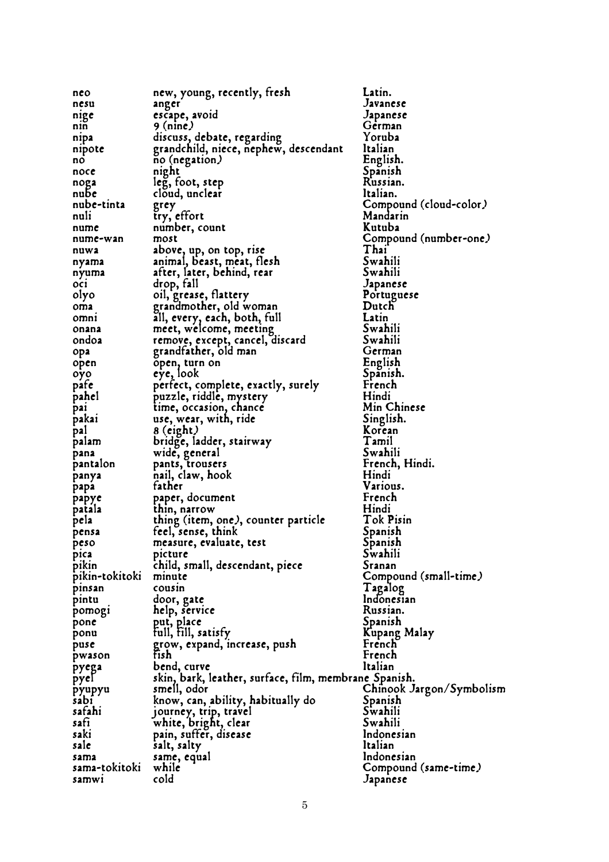| nco            | new, young, recently, fresh                                                     | Latin.                   |
|----------------|---------------------------------------------------------------------------------|--------------------------|
|                |                                                                                 |                          |
| nesu           | anger                                                                           | Javanese                 |
| nige           | escape, avoid                                                                   | Japanese                 |
| nın            | $9$ (nine)                                                                      | German                   |
| nipa           | discuss, debate, regarding                                                      | Yoruba                   |
| nipote         | grandchild, niece, nephew, descendant                                           | Italian                  |
| no             | no (negation)                                                                   | English.                 |
| noce           |                                                                                 | Spanish                  |
|                | night                                                                           |                          |
| noga           | leg, foot, step                                                                 | Russian.                 |
| nube           | cloud, unclear                                                                  | Italian.                 |
| nube-tinta     | grey                                                                            | Compound (cloud-color)   |
| nuli           | try, effort                                                                     | Mandarin                 |
| nume           | number, count                                                                   | Kutuba                   |
| nume-wan       | most                                                                            | Compound (number-one)    |
|                |                                                                                 | Thai                     |
| nuwa           | above, up, on top, rise                                                         |                          |
| nyama          | animal, beast, meat, flesh                                                      | Swahili                  |
| nyuma          | after, later, behind, rear                                                      | Swahili                  |
| OC1            | drop, fall                                                                      | Japanese                 |
| olyo           | oil, grease, flattery<br>grandmother, old woman<br>all, every, each, both, full | Portuguese               |
| oma            |                                                                                 | Dutch                    |
| omni           |                                                                                 | Latin                    |
|                |                                                                                 |                          |
| onana          | meet, welcome, meeting                                                          | Swahili                  |
| ondoa          | remove, except, cancel, discard                                                 | Swahili                  |
| opa            | grandfather, old man                                                            | German                   |
| open           | open, turn on                                                                   | English                  |
| oyo            | eye, look                                                                       | Spanish.                 |
| pafe           |                                                                                 | French                   |
|                | perfect, complete, exactly, surely                                              |                          |
| pahel          | puzzle, riddle, mystery                                                         | Hindi                    |
| pai            | time, occasion, chance                                                          | Min Chinese              |
| pakai          | use, wear, with, ride                                                           | Singlish.                |
| pal            | 8 (eight)                                                                       | Korean                   |
| palam          | bridge, ladder, stairway                                                        | Tamil                    |
| pana           | wide, general                                                                   | Swahili                  |
|                |                                                                                 |                          |
| pantalon       | pants, trousers                                                                 | French, Hindi.           |
| panya          | nail, claw, hook                                                                | Hindi                    |
| papa           | tather                                                                          | Various.                 |
| papye          | paper, document                                                                 | French                   |
| patala         | thin, narrow                                                                    | Hindi                    |
| pela           | thing (item, one), counter particle                                             | Tok Pisin                |
|                | feel, sense, think                                                              | Spanish                  |
| pensa          |                                                                                 |                          |
| peso           | measure, evaluate, test                                                         | Spanish                  |
| pica           | picture                                                                         | Swahili                  |
| pikin          | child, small, descendant, piece                                                 | Sranan                   |
| pikin-tokitoki | minute                                                                          | Compound (small-time)    |
| pinsan         | cousin                                                                          | Tagalog                  |
|                |                                                                                 | Indonesian               |
| pintu          | door, gate                                                                      |                          |
| pomogi         | help, service                                                                   | Russian.                 |
| pone           | put, place                                                                      | Spanish                  |
| ponu           | full, fill, satisfy                                                             | Kupang Malay             |
| puse           | grow, expand, increase, push                                                    | French                   |
| pwason         | fish                                                                            | French                   |
|                | bend, curve                                                                     | Italian                  |
| pyega          |                                                                                 |                          |
| pyel           | skin, bark, leather, surface, film, membrane Spanish.                           |                          |
| pyupyu         | smell, odor                                                                     | Chinook Jargon/Symbolism |
| sabi           | know, can, ability, habitually do                                               | Spanish                  |
| safahi         | journey, trip, travel                                                           | Swahili                  |
| safi           |                                                                                 | Swahili                  |
| saki           | white, bright, clear<br>pain, suffer, disease                                   | Indonesian               |
| sale           | salt, salty                                                                     | Italian                  |
|                |                                                                                 |                          |
| sama           | same, equal                                                                     | Indonesian               |
| sama-tokitoki  | while                                                                           | Compound (same-time)     |
| samwi          | cold                                                                            | Japanese                 |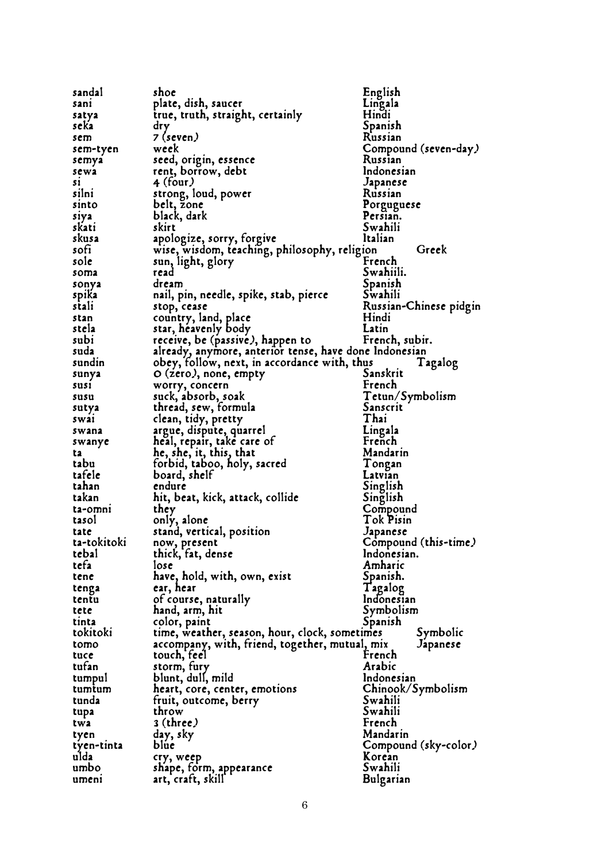| sandal      | shoe                                                                                 | English                         |
|-------------|--------------------------------------------------------------------------------------|---------------------------------|
| sani        | plate, dish, saucer                                                                  | Lingala                         |
| satya       | true, truth, straight, certainly                                                     | Hindi                           |
| seka        | dry                                                                                  | Spanish                         |
| sem         | 7 (seven)                                                                            | Russian                         |
| sem-tyen    | week                                                                                 | Compound (seven-day)            |
| semya       | seed, origin, essence                                                                | Russian                         |
| sewa        | seed, origin, essend<br>rent, borrow, debt                                           | Indonesian                      |
| 51          | $4$ (four.)                                                                          | Japanese                        |
| silni       | strong, loud, power                                                                  | Russian                         |
| sinto       | belt, zone                                                                           | Porguguese                      |
| siya        | black, dark                                                                          | Persian.                        |
| skatı       |                                                                                      | Swahili                         |
| skusa       | apologize, sorry, forgive<br>wise, wisdom, teaching                                  | Italian                         |
| sofi        | wise, wisdom, teaching, philosophy, religion                                         | Greek                           |
| sole        | sun, light, glory                                                                    | French                          |
| soma        | read                                                                                 | Swahiili.                       |
|             | dream                                                                                |                                 |
| sonya       |                                                                                      | Spanish<br>Swahili              |
| spika       | nail, pin, needle, spike, stab, pierce                                               |                                 |
| stali       | stop, cease                                                                          | Russian-Chinese pidgin<br>Hindi |
| stan        | country, land, place                                                                 | Latin                           |
| stela       | star, heavenly body                                                                  |                                 |
| subi        | receive, be (passive), happen to                                                     | French, subir.                  |
| suda        | already, anymore, anterior tense, have done Indonesian                               |                                 |
| sundin      | obey, follow, next, in accordance with, thus                                         | Tagalog                         |
|             | sunya O (zero), none, empty                                                          | Sanskrit                        |
| susi        | worry, concern<br>suck, absorb, soak                                                 | French                          |
| susu        |                                                                                      | Tetun/Symbolism                 |
| sutya       | thread, sew, formula                                                                 | Sanscrit                        |
| swai        | clean, tidy, pretty                                                                  | Thai                            |
| swana       | argue, dispute, quarrel                                                              | Lingala                         |
| swanye      | heal, repa,<br>he, she, it, this, that<br>forbid, taboo, holy, sacred<br>hand, shelf | French                          |
| ta          |                                                                                      | Mandarin                        |
| tabu        |                                                                                      | Tongan                          |
| tafele      |                                                                                      | Latvian                         |
| tahan       |                                                                                      | Singlish                        |
| takan       | hit, beat, kick, attack, collide                                                     | Singlish                        |
| ta-omni     | they                                                                                 | Compound                        |
| tasol       | only, alone                                                                          | Tok Pisin                       |
| tate        | stand, vertical, position                                                            | Japanese                        |
| ta-tokitoki | now, present                                                                         | Compound (this-time)            |
| tebal       | thick, fat, dense                                                                    | Indonesian.                     |
| tefa        | lose                                                                                 | Amharic                         |
| tene        | have, hold, with, own, exist                                                         | Spanish.                        |
| tenga       | ear, hear                                                                            | Tagalog                         |
| tentu       | of course, naturally                                                                 | Indonesian                      |
| tete        | hand, arm, hit                                                                       | Symbolism                       |
| tinta       | color, paint                                                                         | Spanish                         |
| tokitoki    | time, weather, season, hour, clock, sometimes                                        | Symbolic                        |
| tomo        | accompany, with, friend, together, mutual, mix                                       | Japanese                        |
| tuce        | touch, feel                                                                          | French                          |
| tufan       | storm, fury                                                                          | Arabic                          |
| tumpul      | blunt, dull, mild                                                                    | Indonesian                      |
| tumtum      | heart, core, center, emotions                                                        | Chinook/Symbolism               |
| tunda       | fruit, outcome, berry                                                                | Swahili                         |
|             | throw                                                                                | Swahili                         |
| tupa        |                                                                                      |                                 |
| twa         | $3$ (three)                                                                          | French                          |
| tyen        | day, sky                                                                             | Mandarin                        |
| tyen-tinta  | blue                                                                                 | Compound (sky-color)            |
| ulda        | cry, weep                                                                            | Korean                          |
| umbo        | shape, form, appearance                                                              | Swahili                         |
| umeni       | art, craft, skill                                                                    | Bulgarian                       |